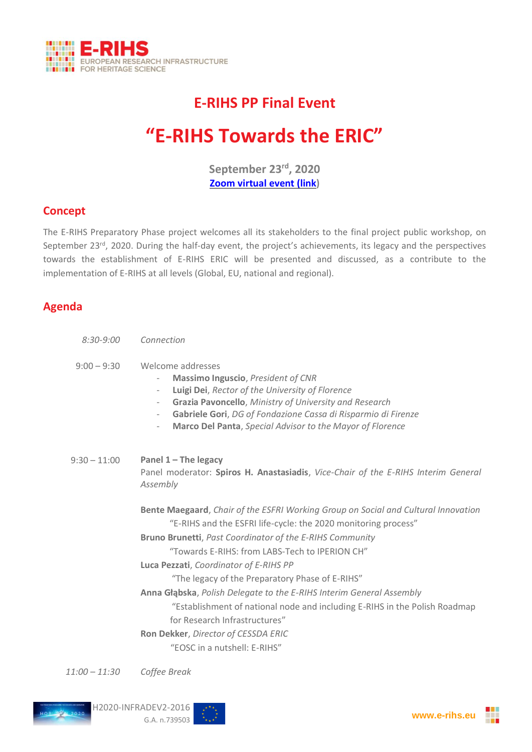

# **E-RIHS PP Final Event**

# **"E-RIHS Towards the ERIC"**

**September 23 rd , 2020 [Zoom virtual event](https://zoom.us/j/92452162917?pwd=MXhnUUFwMlBiSnBJVGJWdDJ3K1ZXUT09) (link)**

### **Concept**

The E-RIHS Preparatory Phase project welcomes all its stakeholders to the final project public workshop, on September 23<sup>rd</sup>, 2020. During the half-day event, the project's achievements, its legacy and the perspectives towards the establishment of E-RIHS ERIC will be presented and discussed, as a contribute to the implementation of E-RIHS at all levels (Global, EU, national and regional).

### **Agenda**

| $8:30 - 9:00$  | Connection                                                                                                                                                                                                                                                                                                                                                                                                                                                                                                                                                                                                                           |
|----------------|--------------------------------------------------------------------------------------------------------------------------------------------------------------------------------------------------------------------------------------------------------------------------------------------------------------------------------------------------------------------------------------------------------------------------------------------------------------------------------------------------------------------------------------------------------------------------------------------------------------------------------------|
| $9:00 - 9:30$  | Welcome addresses<br><b>Massimo Inguscio, President of CNR</b><br>$\overline{\phantom{0}}$<br>Luigi Dei, Rector of the University of Florence<br>$\overline{\phantom{a}}$<br>Grazia Pavoncello, Ministry of University and Research<br>$\overline{\phantom{a}}$<br>Gabriele Gori, DG of Fondazione Cassa di Risparmio di Firenze<br>Marco Del Panta, Special Advisor to the Mayor of Florence<br>$\overline{\phantom{a}}$                                                                                                                                                                                                            |
| $9:30 - 11:00$ | Panel $1$ – The legacy<br>Panel moderator: Spiros H. Anastasiadis, Vice-Chair of the E-RIHS Interim General<br>Assembly                                                                                                                                                                                                                                                                                                                                                                                                                                                                                                              |
|                | Bente Maegaard, Chair of the ESFRI Working Group on Social and Cultural Innovation<br>"E-RIHS and the ESFRI life-cycle: the 2020 monitoring process"<br><b>Bruno Brunetti, Past Coordinator of the E-RIHS Community</b><br>"Towards E-RIHS: from LABS-Tech to IPERION CH"<br>Luca Pezzati, Coordinator of E-RIHS PP<br>"The legacy of the Preparatory Phase of E-RIHS"<br>Anna Głąbska, Polish Delegate to the E-RIHS Interim General Assembly<br>"Establishment of national node and including E-RIHS in the Polish Roadmap<br>for Research Infrastructures"<br>Ron Dekker, Director of CESSDA ERIC<br>"EOSC in a nutshell: E-RIHS" |

*11:00 – 11:30 Coffee Break*